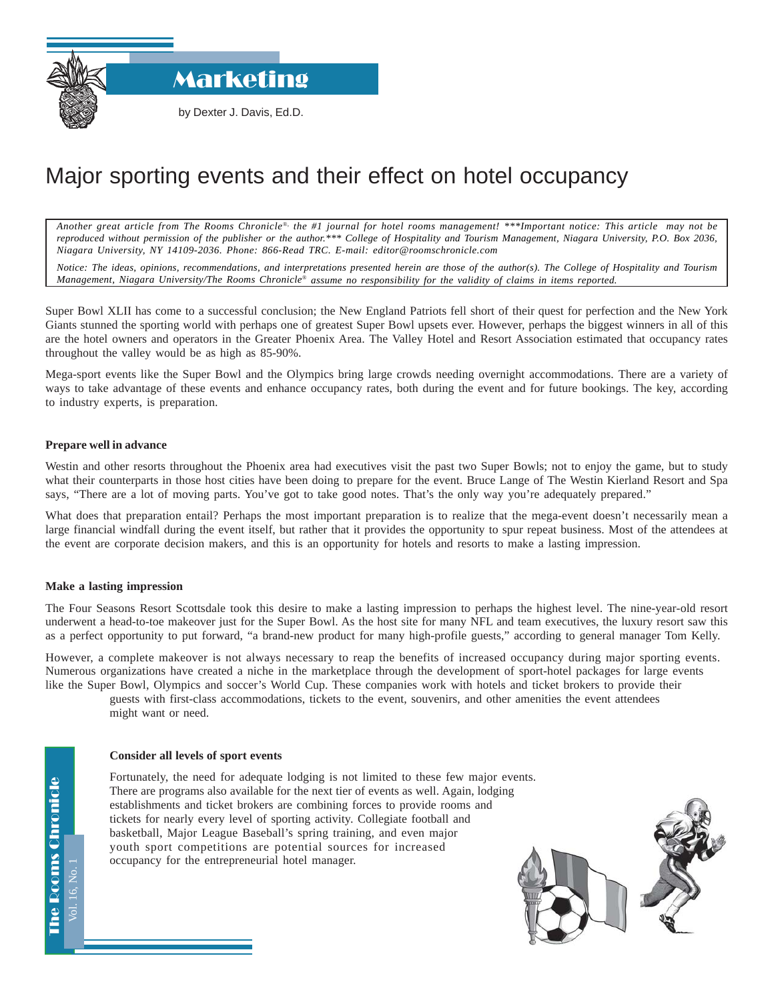Marketing

by Dexter J. Davis, Ed.D.

## Major sporting events and their effect on hotel occupancy

*Another great article from The Rooms Chronicle*®*, the #1 journal for hotel rooms management! \*\*\*Important notice: This article may not be reproduced without permission of the publisher or the author.\*\*\* College of Hospitality and Tourism Management, Niagara University, P.O. Box 2036, Niagara University, NY 14109-2036. Phone: 866-Read TRC. E-mail: editor@roomschronicle.com*

*Notice: The ideas, opinions, recommendations, and interpretations presented herein are those of the author(s). The College of Hospitality and Tourism Management, Niagara University/The Rooms Chronicle*® *assume no responsibility for the validity of claims in items reported.*

Super Bowl XLII has come to a successful conclusion; the New England Patriots fell short of their quest for perfection and the New York Giants stunned the sporting world with perhaps one of greatest Super Bowl upsets ever. However, perhaps the biggest winners in all of this are the hotel owners and operators in the Greater Phoenix Area. The Valley Hotel and Resort Association estimated that occupancy rates throughout the valley would be as high as 85-90%.

Mega-sport events like the Super Bowl and the Olympics bring large crowds needing overnight accommodations. There are a variety of ways to take advantage of these events and enhance occupancy rates, both during the event and for future bookings. The key, according to industry experts, is preparation.

## **Prepare well in advance**

Westin and other resorts throughout the Phoenix area had executives visit the past two Super Bowls; not to enjoy the game, but to study what their counterparts in those host cities have been doing to prepare for the event. Bruce Lange of The Westin Kierland Resort and Spa says, "There are a lot of moving parts. You've got to take good notes. That's the only way you're adequately prepared."

What does that preparation entail? Perhaps the most important preparation is to realize that the mega-event doesn't necessarily mean a large financial windfall during the event itself, but rather that it provides the opportunity to spur repeat business. Most of the attendees at the event are corporate decision makers, and this is an opportunity for hotels and resorts to make a lasting impression.

## **Make a lasting impression**

The Four Seasons Resort Scottsdale took this desire to make a lasting impression to perhaps the highest level. The nine-year-old resort underwent a head-to-toe makeover just for the Super Bowl. As the host site for many NFL and team executives, the luxury resort saw this as a perfect opportunity to put forward, "a brand-new product for many high-profile guests," according to general manager Tom Kelly.

However, a complete makeover is not always necessary to reap the benefits of increased occupancy during major sporting events. Numerous organizations have created a niche in the marketplace through the development of sport-hotel packages for large events like the Super Bowl, Olympics and soccer's World Cup. These companies work with hotels and ticket brokers to provide their

guests with first-class accommodations, tickets to the event, souvenirs, and other amenities the event attendees might want or need.

## **Consider all levels of sport events**

Fortunately, the need for adequate lodging is not limited to these few major events. There are programs also available for the next tier of events as well. Again, lodging establishments and ticket brokers are combining forces to provide rooms and tickets for nearly every level of sporting activity. Collegiate football and basketball, Major League Baseball's spring training, and even major youth sport competitions are potential sources for increased occupancy for the entrepreneurial hotel manager.



Vol. 16, No. 1